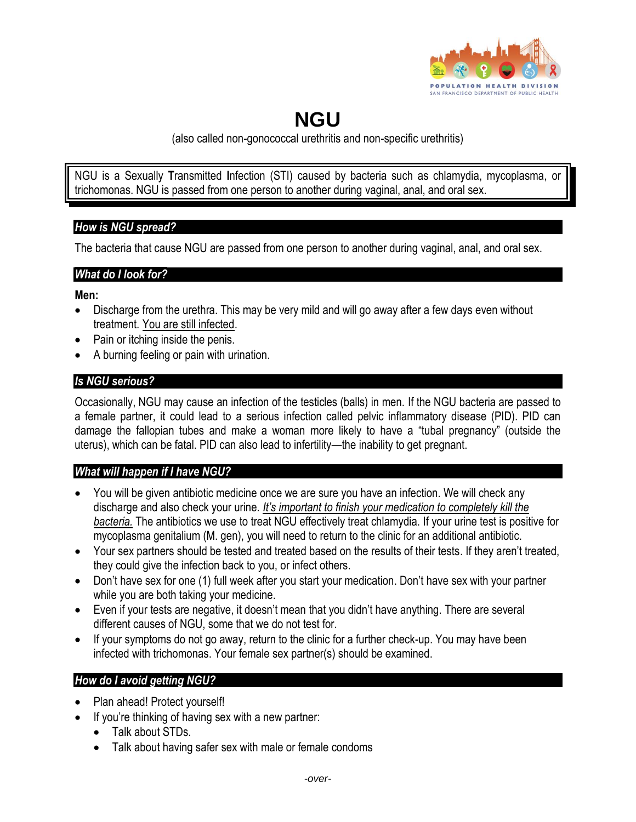

# **NGU**

(also called non-gonococcal urethritis and non-specific urethritis)

NGU is a Sexually **T**ransmitted **I**nfection (STI) caused by bacteria such as chlamydia, mycoplasma, or trichomonas. NGU is passed from one person to another during vaginal, anal, and oral sex.

### *How is NGU spread?*

The bacteria that cause NGU are passed from one person to another during vaginal, anal, and oral sex.

### *What do I look for?*

**Men:**

- Discharge from the urethra. This may be very mild and will go away after a few days even without treatment. You are still infected.
- Pain or itching inside the penis.
- A burning feeling or pain with urination.

## *Is NGU serious?*

Occasionally, NGU may cause an infection of the testicles (balls) in men. If the NGU bacteria are passed to a female partner, it could lead to a serious infection called pelvic inflammatory disease (PID). PID can damage the fallopian tubes and make a woman more likely to have a "tubal pregnancy" (outside the uterus), which can be fatal. PID can also lead to infertility—the inability to get pregnant.

### *What will happen if I have NGU?*

- You will be given antibiotic medicine once we are sure you have an infection. We will check any discharge and also check your urine*. It's important to finish your medication to completely kill the bacteria.* The antibiotics we use to treat NGU effectively treat chlamydia. If your urine test is positive for mycoplasma genitalium (M. gen), you will need to return to the clinic for an additional antibiotic.
- Your sex partners should be tested and treated based on the results of their tests. If they aren't treated, they could give the infection back to you, or infect others.
- Don't have sex for one (1) full week after you start your medication. Don't have sex with your partner while you are both taking your medicine.
- Even if your tests are negative, it doesn't mean that you didn't have anything. There are several different causes of NGU, some that we do not test for.
- If your symptoms do not go away, return to the clinic for a further check-up. You may have been infected with trichomonas. Your female sex partner(s) should be examined.

# *How do I avoid getting NGU?*

- Plan ahead! Protect yourself!
- If you're thinking of having sex with a new partner:
	- Talk about STDs.
	- Talk about having safer sex with male or female condoms